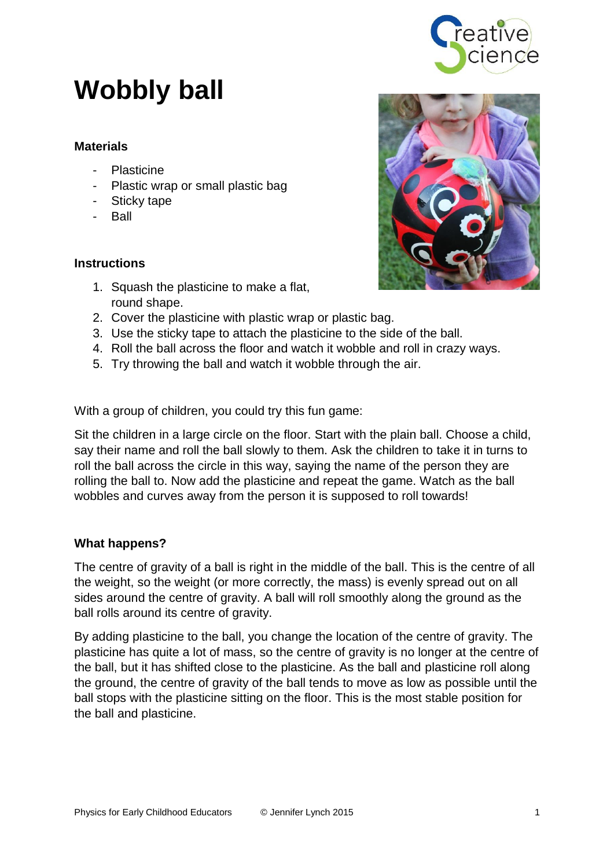

# **Wobbly ball**

## **Materials**

- Plasticine
- Plastic wrap or small plastic bag
- Sticky tape
- Ball

## **Instructions**

- 1. Squash the plasticine to make a flat, round shape.
- 2. Cover the plasticine with plastic wrap or plastic bag.
- 3. Use the sticky tape to attach the plasticine to the side of the ball.
- 4. Roll the ball across the floor and watch it wobble and roll in crazy ways.
- 5. Try throwing the ball and watch it wobble through the air.

With a group of children, you could try this fun game:

Sit the children in a large circle on the floor. Start with the plain ball. Choose a child, say their name and roll the ball slowly to them. Ask the children to take it in turns to roll the ball across the circle in this way, saying the name of the person they are rolling the ball to. Now add the plasticine and repeat the game. Watch as the ball wobbles and curves away from the person it is supposed to roll towards!

## **What happens?**

The centre of gravity of a ball is right in the middle of the ball. This is the centre of all the weight, so the weight (or more correctly, the mass) is evenly spread out on all sides around the centre of gravity. A ball will roll smoothly along the ground as the ball rolls around its centre of gravity.

By adding plasticine to the ball, you change the location of the centre of gravity. The plasticine has quite a lot of mass, so the centre of gravity is no longer at the centre of the ball, but it has shifted close to the plasticine. As the ball and plasticine roll along the ground, the centre of gravity of the ball tends to move as low as possible until the ball stops with the plasticine sitting on the floor. This is the most stable position for the ball and plasticine.